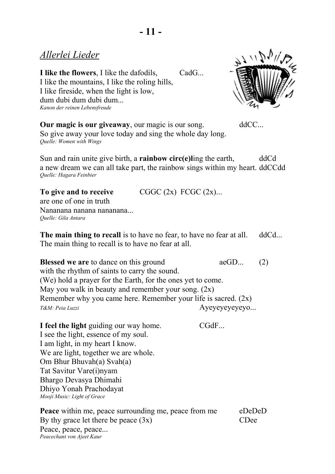**I like the flowers**, I like the dafodils, CadG... I like the mountains, I like the roling hills, I like fireside, when the light is low, dum dubi dum dubi dum... *Kanon der reinen Lebensfreude* 



**Our magic is our giveaway**, our magic is our song. ddCC... So give away your love today and sing the whole day long. *Quelle: Women with Wings*

Sun and rain unite give birth, a **rainbow circ(e)** ling the earth, ddCd a new dream we can all take part, the rainbow sings within my heart. ddCCdd *Quelle: Hagara Feinbier*

| To give and to receive                          | CGGC(2x) FCGC(2x)                                                                |  |
|-------------------------------------------------|----------------------------------------------------------------------------------|--|
| are one of one in truth                         |                                                                                  |  |
| Nananana nanana nananana<br>Quelle: Gila Antara |                                                                                  |  |
|                                                 | <b>The main thing to recall</b> is to have no fear, to have no fear at all. ddCd |  |

The main thing to recall is to have no fear at all.

**Blessed we are** to dance on this ground aeGD... (2) with the rhythm of saints to carry the sound. (We) hold a prayer for the Earth, for the ones yet to come. May you walk in beauty and remember your song.  $(2x)$ Remember why you came here. Remember your life is sacred.  $(2x)$ *T&M: Peia Luzzi* Ayeyeyeyeyeyo...

**I feel the light** guiding our way home. CGdF... I see the light, essence of my soul. I am light, in my heart I know. We are light, together we are whole. Om Bhur Bhuvah(a) Svah(a) Tat Savitur Vare(i)nyam Bhargo Devasya Dhimahi Dhiyo Yonah Prachodayat *Mooji Music: Light of Grace*

**Peace** within me, peace surrounding me, peace from me eDeDeD By thy grace let there be peace  $(3x)$  CDee Peace, peace, peace... *Peacechant von Ajeet Kaur*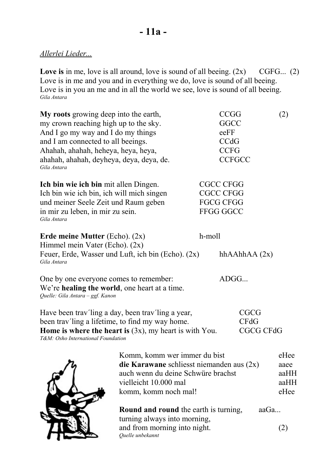**Love is** in me, love is all around, love is sound of all beeing. (2x) CGFG... (2) Love is in me and you and in everything we do, love is sound of all beeing. Love is in you an me and in all the world we see, love is sound of all beeing. *Gila Antara*

| My roots growing deep into the earth,<br>my crown reaching high up to the sky.<br>And I go my way and I do my things<br>and I am connected to all beeings.<br>Ahahah, ahahah, heheya, heya, heya,<br>ahahah, ahahah, deyheya, deya, deya, de.<br>Gila Antara |                                                                                                                                                                    | <b>CCGG</b><br>GGCC<br>eeFF<br>CCdG<br><b>CCFG</b>                           | <b>CCFGCC</b>                             | (2)                                  |
|--------------------------------------------------------------------------------------------------------------------------------------------------------------------------------------------------------------------------------------------------------------|--------------------------------------------------------------------------------------------------------------------------------------------------------------------|------------------------------------------------------------------------------|-------------------------------------------|--------------------------------------|
| Ich bin wie ich bin mit allen Dingen.<br>Ich bin wie ich bin, ich will mich singen<br>und meiner Seele Zeit und Raum geben<br>in mir zu leben, in mir zu sein.<br>Gila Antara                                                                                |                                                                                                                                                                    | <b>CGCC CFGG</b><br><b>CGCC CFGG</b><br><b>FGCG CFGG</b><br><b>FFGG GGCC</b> |                                           |                                      |
| Erde meine Mutter (Echo). $(2x)$<br>Himmel mein Vater (Echo). (2x)<br>Gila Antara                                                                                                                                                                            | Feuer, Erde, Wasser und Luft, ich bin (Echo). (2x)                                                                                                                 | h-moll                                                                       | hh $AAhhAA(2x)$                           |                                      |
| One by one everyone comes to remember:<br>We're healing the world, one heart at a time.<br>Quelle: Gila Antara - ggf. Kanon                                                                                                                                  |                                                                                                                                                                    |                                                                              | ADGG                                      |                                      |
| been trav'ling a lifetime, to find my way home.<br>T&M: Osho International Foundation                                                                                                                                                                        | Have been trav'ling a day, been trav'ling a year,<br>Home is where the heart is $(3x)$ , my heart is with You.                                                     |                                                                              | <b>CGCG</b><br>C F dG<br><b>CGCG CFdG</b> |                                      |
| ۰.                                                                                                                                                                                                                                                           | Komm, komm wer immer du bist<br>die Karawane schliesst niemanden aus $(2x)$<br>auch wenn du deine Schwüre brachst<br>vielleicht 10.000 mal<br>komm, komm noch mal! |                                                                              |                                           | eHee<br>aaee<br>aaHH<br>aaHH<br>eHee |
|                                                                                                                                                                                                                                                              | <b>Round and round</b> the earth is turning,<br>turning always into morning,<br>and from morning into night.                                                       |                                                                              | $a$ a $Ga$                                | (2)                                  |

*Quelle unbekannt*

Hess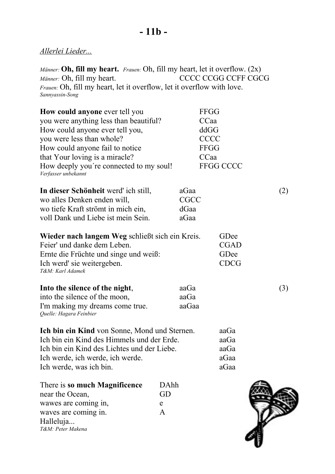*Männer:* **Oh, fill my heart.** *Frauen:* Oh, fill my heart, let it overflow. (2x) *Männer:* Oh, fill my heart. CCCC CCGG CCFF CGCG *Frauen:* Oh, fill my heart, let it overflow, let it overflow with love. *Sannyassin-Song*

| <b>How could anyone</b> ever tell you                          |             | <b>FFGG</b>      |     |
|----------------------------------------------------------------|-------------|------------------|-----|
| you were anything less than beautiful?                         | CCaa        |                  |     |
| How could anyone ever tell you,                                | ddGG        |                  |     |
| you were less than whole?                                      |             | <b>CCCC</b>      |     |
| How could anyone fail to notice                                |             | <b>FFGG</b>      |     |
| that Your loving is a miracle?                                 | CCaa        |                  |     |
| How deeply you're connected to my soul!<br>Verfasser unbekannt |             | <b>FFGG CCCC</b> |     |
| In dieser Schönheit werd' ich still,                           | aGaa        |                  | (2) |
| wo alles Denken enden will,                                    | <b>CGCC</b> |                  |     |
| wo tiefe Kraft strömt in mich ein,                             | dGaa        |                  |     |
| voll Dank und Liebe ist mein Sein.                             | aGaa        |                  |     |
| Wieder nach langem Weg schließt sich ein Kreis.                |             | GDee             |     |
| Feier' und danke dem Leben.                                    |             | <b>CGAD</b>      |     |
| Ernte die Früchte und singe und weiß:                          |             | GDee             |     |
| Ich werd' sie weitergeben.<br>T&M: Karl Adamek                 |             | <b>CDCG</b>      |     |
| Into the silence of the night,                                 | aaGa        |                  | (3) |
| into the silence of the moon,                                  | aaGa        |                  |     |
| I'm making my dreams come true.<br>Quelle: Hagara Feinbier     | aaGaa       |                  |     |
| <b>Ich bin ein Kind</b> von Sonne, Mond und Sternen.           |             | aaGa             |     |
| Ich bin ein Kind des Himmels und der Erde.                     |             | aaGa             |     |
| Ich bin ein Kind des Lichtes und der Liebe.                    |             | aaGa             |     |
| Ich werde, ich werde, ich werde.                               |             | aGaa             |     |
| Ich werde, was ich bin.                                        |             | aGaa             |     |
| There is so much Magnificence                                  | DAhh        |                  |     |
| near the Ocean,                                                | GD          |                  |     |
| wawes are coming in,                                           | e           |                  |     |
| waves are coming in.                                           | A           |                  |     |
| Halleluja                                                      |             |                  |     |
| T&M: Peter Makena                                              |             |                  |     |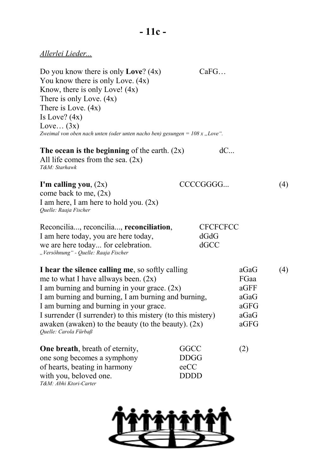Do you know there is only **Love**? (4x) CaFG... You know there is only Love.  $(4x)$ Know, there is only Love! (4x) There is only Love. (4x) There is Love. (4x) Is Love?  $(4x)$ Love... $(3x)$ *Zweimal von oben nach unten (oder unten nacho ben) gesungen* = 108 x "Love".

| The ocean is the beginning of the earth. $(2x)$ | dC |
|-------------------------------------------------|----|
| All life comes from the sea. $(2x)$             |    |
| T&M: Starhawk                                   |    |

| I'm calling you, $(2x)$                  | CCCCGGGG |  |
|------------------------------------------|----------|--|
| come back to me, $(2x)$                  |          |  |
| I am here, I am here to hold you. $(2x)$ |          |  |
| Quelle: Raaja Fischer                    |          |  |

| Reconcilia, reconcilia, reconciliation, | <b>CFCFCFCC</b> |
|-----------------------------------------|-----------------|
| I am here today, you are here today,    | dGdG            |
| we are here today for celebration.      | dGCC            |
| "Versöhnung" - Quelle: Raaja Fischer    |                 |

| I hear the silence calling me, so softly calling            | aGaG | 4) |
|-------------------------------------------------------------|------|----|
| me to what I have allways been. $(2x)$                      | FGaa |    |
| I am burning and burning in your grace. $(2x)$              | aGFF |    |
| I am burning and burning, I am burning and burning,         | aGaG |    |
| I am burning and burning in your grace.                     | aGFG |    |
| I surrender (I surrender) to this mistery (to this mistery) | aGaG |    |
| awaken (awaken) to the beauty (to the beauty). $(2x)$       | aGFG |    |
| Quelle: Carola Fürbaß                                       |      |    |
|                                                             |      |    |

| <b>One breath</b> , breath of eternity, | <b>GGCC</b> | (2) |
|-----------------------------------------|-------------|-----|
| one song becomes a symphony             | <b>DDGG</b> |     |
| of hearts, beating in harmony           | $e$ e $CC$  |     |
| with you, beloved one.                  | <b>DDDD</b> |     |
| T&M: Abhi Ktori-Carter                  |             |     |

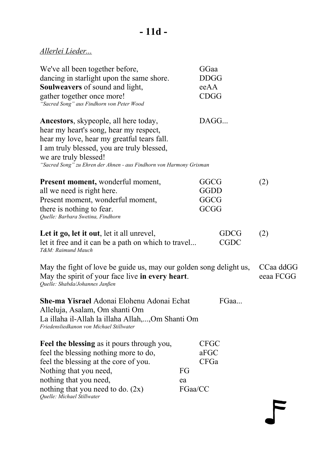| We've all been together before,<br>dancing in starlight upon the same shore.<br>Soulweavers of sound and light,<br>gather together once more!<br>"Sacred Song" aus Findhorn von Peter Wood                                                                                  |                     | GGaa<br><b>DDGG</b><br>eeAA<br><b>CDGG</b> |                        |
|-----------------------------------------------------------------------------------------------------------------------------------------------------------------------------------------------------------------------------------------------------------------------------|---------------------|--------------------------------------------|------------------------|
| Ancestors, skypeople, all here today,<br>hear my heart's song, hear my respect,<br>hear my love, hear my greatful tears fall.<br>I am truly blessed, you are truly blessed,<br>we are truly blessed!<br>"Sacred Song" zu Ehren der Ahnen - aus Findhorn von Harmony Grisman |                     | DAGG                                       |                        |
| <b>Present moment, wonderful moment,</b><br>all we need is right here.<br>Present moment, wonderful moment,<br>there is nothing to fear.<br>Quelle: Barbara Swetina, Findhorn                                                                                               |                     | GGCG<br>GGDD<br>GGCG<br>GCGG               | (2)                    |
| Let it go, let it out, let it all unrevel,<br>let it free and it can be a path on which to travel<br>T&M: Raimund Mauch                                                                                                                                                     |                     | <b>GDCG</b><br><b>CGDC</b>                 | (2)                    |
| May the fight of love be guide us, may our golden song delight us,<br>May the spirit of your face live in every heart.<br>Quelle: Shabda/Johannes Janßen                                                                                                                    |                     |                                            | CCaa ddGG<br>eeaa FCGG |
| She-ma Yisrael Adonai Elohenu Adonai Echat<br>Alleluja, Asalam, Om shanti Om<br>La illaha il-Allah la illaha Allah,,Om Shanti Om<br>Friedensliedkanon von Michael Stillwater                                                                                                |                     | FGaa                                       |                        |
| <b>Feel the blessing as it pours through you,</b><br>feel the blessing nothing more to do,<br>feel the blessing at the core of you.<br>Nothing that you need,<br>nothing that you need,<br>nothing that you need to do. $(2x)$<br>Quelle: Michael Stillwater                | FG<br>ea<br>FGaa/CC | <b>CFGC</b><br>aFGC<br><b>CFGa</b>         |                        |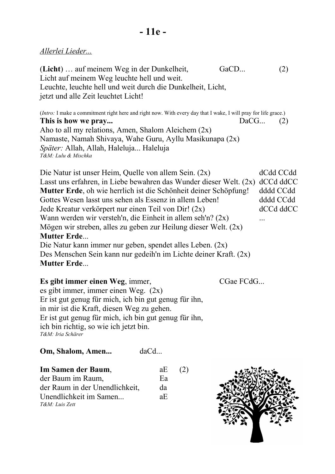(**Licht**) ... auf meinem Weg in der Dunkelheit, GaCD... (2) Licht auf meinem Weg leuchte hell und weit. Leuchte, leuchte hell und weit durch die Dunkelheit, Licht, jetzt und alle Zeit leuchtet Licht!

(*Intro:* I make a commitment right here and right now. With every day that I wake, I will pray for life grace.) **This is how we pray...** DaCG... (2) Aho to all my relations, Amen, Shalom Aleichem  $(2x)$ Namaste, Namah Shivaya, Wahe Guru, Ayllu Masikunapa (2x) *Später:* Allah, Allah, Haleluja... Haleluja *T&M: Lulu & Mischka*

Die Natur ist unser Heim, Quelle von allem Sein. (2x) dCdd CCdd Lasst uns erfahren, in Liebe bewahren das Wunder dieser Welt. (2x) dCCd ddCC **Mutter Erde**, oh wie herrlich ist die Schönheit deiner Schöpfung! dddd CCdd Gottes Wesen lasst uns sehen als Essenz in allem Leben! dddd CCdd Jede Kreatur verkörpert nur einen Teil von Dir! (2x) dCCd ddCC Wann werden wir versteh'n, die Einheit in allem seh'n? (2x) ... Mögen wir streben, alles zu geben zur Heilung dieser Welt. (2x) **Mutter Erde**... Die Natur kann immer nur geben, spendet alles Leben. (2x) Des Menschen Sein kann nur gedeih'n im Lichte deiner Kraft. (2x)

#### **Mutter Erde**...

**Es gibt immer einen Weg**, immer, CGae FCdG... es gibt immer, immer einen Weg. (2x) Er ist gut genug für mich, ich bin gut genug für ihn, in mir ist die Kraft, diesen Weg zu gehen. Er ist gut genug für mich, ich bin gut genug für ihn, ich bin richtig, so wie ich jetzt bin. *T&M: Iria Schärer*

**Om, Shalom, Amen...** daCd...

| Im Samen der Baum,             | aE | (2) |
|--------------------------------|----|-----|
| der Baum im Raum,              | Ea |     |
| der Raum in der Unendlichkeit, | da |     |
| Unendlichkeit im Samen         | аE |     |
| T&M: Luis Zett                 |    |     |

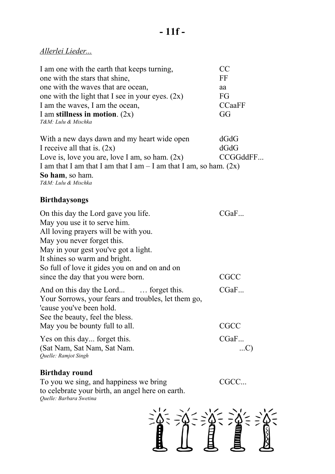| I am one with the earth that keeps turning,        | CC            |
|----------------------------------------------------|---------------|
| one with the stars that shine,                     | FF            |
| one with the waves that are ocean,                 | aa            |
| one with the light that I see in your eyes. $(2x)$ | FG            |
| I am the waves, I am the ocean,                    | <b>CCaaFF</b> |
| I am stillness in motion. $(2x)$                   | GG            |
| T&M: Lulu & Mischka                                |               |
| With a naw days dawn and my heart wide open        | ACAC          |

With a new days dawn and my heart wide open dGdG I receive all that is.  $(2x)$  dGdG Love is, love you are, love I am, so ham.  $(2x)$  CCGGddFF... I am that I am that I am that I am – I am that I am, so ham.  $(2x)$ **So ham**, so ham. *T&M: Lulu & Mischka*

#### **Birthdaysongs**

| On this day the Lord gave you life.                 | CGaF |
|-----------------------------------------------------|------|
| May you use it to serve him.                        |      |
| All loving prayers will be with you.                |      |
| May you never forget this.                          |      |
| May in your gest you've got a light.                |      |
| It shines so warm and bright.                       |      |
| So full of love it gides you on and on and on       |      |
| since the day that you were born.                   | CGCC |
| And on this day the Lord  forget this.              | CGaF |
| Your Sorrows, your fears and troubles, let them go, |      |
| 'cause you've been hold.                            |      |
| See the beauty, feel the bless.                     |      |
| May you be bounty full to all.                      | CGCC |
| Yes on this day forget this.                        | CGaF |
| (Sat Nam, Sat Nam, Sat Nam.                         |      |
| Quelle: Ramjot Singh                                |      |

#### **Birthday round**

To you we sing, and happiness we bring CGCC... to celebrate your birth, an angel here on earth. *Quelle: Barbara Swetina*

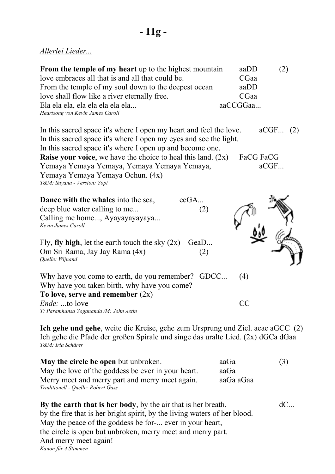| From the temple of my heart up to the highest mountain | aaDD     | (2) |
|--------------------------------------------------------|----------|-----|
| love embraces all that is and all that could be.       | CGaa     |     |
| From the temple of my soul down to the deepest ocean   | aaDD     |     |
| love shall flow like a river eternally free.           | CGaa     |     |
| Ela ela ela, ela ela ela ela ela                       | aaCCGGaa |     |
| Heartsong von Kevin James Caroll                       |          |     |

In this sacred space it's where I open my heart and feel the love. aCGF... (2) In this sacred space it's where I open my eyes and see the light. In this sacred space it's where I open up and become one. **Raise your voice**, we have the choice to heal this land. (2x) FaCG FaCG Yemaya Yemaya Yemaya, Yemaya Yemaya Yemaya, aCGF... Yemaya Yemaya Yemaya Ochun. (4x) *T&M: Suyana - Version: Yopi*



**Ich gehe und gehe**, weite die Kreise, gehe zum Ursprung und Ziel. aeae aGCC (2) Ich gehe die Pfade der großen Spirale und singe das uralte Lied. (2x) dGCa dGaa *T&M: Iria Schärer*

| <b>May the circle be open but unbroken.</b>                                           | aaGa      | (3) |
|---------------------------------------------------------------------------------------|-----------|-----|
| May the love of the goddess be ever in your heart.                                    | aaGa      |     |
| Merry meet and merry part and merry meet again.<br>Traditionell - Quelle: Robert Gass | aaGa aGaa |     |

**By the earth that is her body**, by the air that is her breath,  $dC...$ by the fire that is her bright spirit, by the living waters of her blood. May the peace of the goddess be for-... ever in your heart, the circle is open but unbroken, merry meet and merry part. And merry meet again! *Kanon für 4 Stimmen*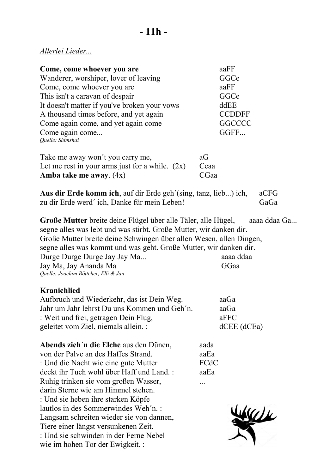wie im hohen Tor der Ewigkeit. :

| Come, come whoever you are<br>Wanderer, worshiper, lover of leaving<br>Come, come whoever you are<br>This isn't a caravan of despair<br>It doesn't matter if you've broken your vows<br>A thousand times before, and yet again<br>Come again come, and yet again come<br>Come again come<br>Quelle: Shimshai                                                                                                                                               |                              | aaFF<br>GGCe<br>aaFF<br>GGCe<br>ddEE<br><b>CCDDFF</b><br><b>GGCCCC</b><br>GGFF |              |
|------------------------------------------------------------------------------------------------------------------------------------------------------------------------------------------------------------------------------------------------------------------------------------------------------------------------------------------------------------------------------------------------------------------------------------------------------------|------------------------------|--------------------------------------------------------------------------------|--------------|
| Take me away won't you carry me,<br>Let me rest in your arms just for a while. $(2x)$<br>Amba take me away. $(4x)$                                                                                                                                                                                                                                                                                                                                         | aG<br>Ceaa<br>CGaa           |                                                                                |              |
| <b>Aus dir Erde komm ich</b> , auf dir Erde geh'(sing, tanz, lieb) ich,<br>zu dir Erde werd' ich, Danke für mein Leben!                                                                                                                                                                                                                                                                                                                                    |                              |                                                                                | aCFG<br>GaGa |
| Große Mutter breite deine Flügel über alle Täler, alle Hügel,<br>segne alles was lebt und was stirbt. Große Mutter, wir danken dir.<br>Große Mutter breite deine Schwingen über allen Wesen, allen Dingen,<br>segne alles was kommt und was geht. Große Mutter, wir danken dir.<br>Durge Durge Durge Jay Jay Ma<br>Jay Ma, Jay Ananda Ma<br>Quelle: Joachim Böttcher, Elli & Jan                                                                           |                              | aaaa ddaa<br>GGaa                                                              | aaaa ddaa Ga |
| <b>Kranichlied</b><br>Aufbruch und Wiederkehr, das ist Dein Weg.<br>Jahr um Jahr lehrst Du uns Kommen und Geh'n.<br>: Weit und frei, getragen Dein Flug,<br>geleitet vom Ziel, niemals allein. :                                                                                                                                                                                                                                                           |                              | aaGa<br>aaGa<br>aFFC<br>dCEE (dCEa)                                            |              |
| Abends zieh'n die Elche aus den Dünen,<br>von der Palve an des Haffes Strand.<br>: Und die Nacht wie eine gute Mutter<br>deckt ihr Tuch wohl über Haff und Land.:<br>Ruhig trinken sie vom großen Wasser,<br>darin Sterne wie am Himmel stehen.<br>: Und sie heben ihre starken Köpfe<br>lautlos in des Sommerwindes Weh'n.:<br>Langsam schreiten wieder sie von dannen,<br>Tiere einer längst versunkenen Zeit.<br>: Und sie schwinden in der Ferne Nebel | aada<br>aaEa<br>FCdC<br>aaEa |                                                                                |              |

 $\sum$